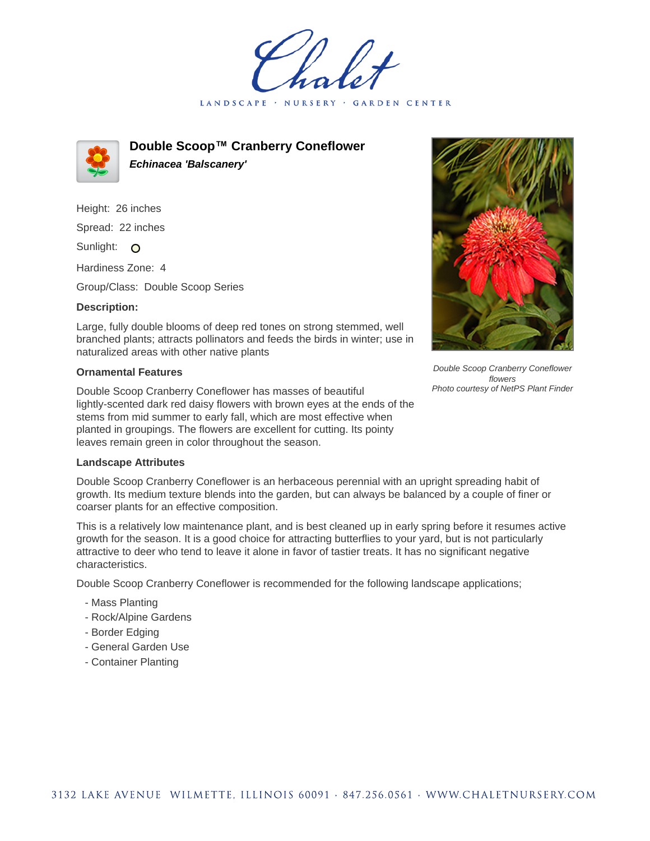LANDSCAPE · GARDEN CENTER



**Double Scoop™ Cranberry Coneflower Echinacea 'Balscanery'**

Height: 26 inches Spread: 22 inches Sunlight: O

Hardiness Zone: 4

Group/Class: Double Scoop Series

## **Description:**

Large, fully double blooms of deep red tones on strong stemmed, well branched plants; attracts pollinators and feeds the birds in winter; use in naturalized areas with other native plants

## **Ornamental Features**

Double Scoop Cranberry Coneflower has masses of beautiful lightly-scented dark red daisy flowers with brown eyes at the ends of the stems from mid summer to early fall, which are most effective when planted in groupings. The flowers are excellent for cutting. Its pointy leaves remain green in color throughout the season.



Double Scoop Cranberry Coneflower flowers Photo courtesy of NetPS Plant Finder

## **Landscape Attributes**

Double Scoop Cranberry Coneflower is an herbaceous perennial with an upright spreading habit of growth. Its medium texture blends into the garden, but can always be balanced by a couple of finer or coarser plants for an effective composition.

This is a relatively low maintenance plant, and is best cleaned up in early spring before it resumes active growth for the season. It is a good choice for attracting butterflies to your yard, but is not particularly attractive to deer who tend to leave it alone in favor of tastier treats. It has no significant negative characteristics.

Double Scoop Cranberry Coneflower is recommended for the following landscape applications;

- Mass Planting
- Rock/Alpine Gardens
- Border Edging
- General Garden Use
- Container Planting